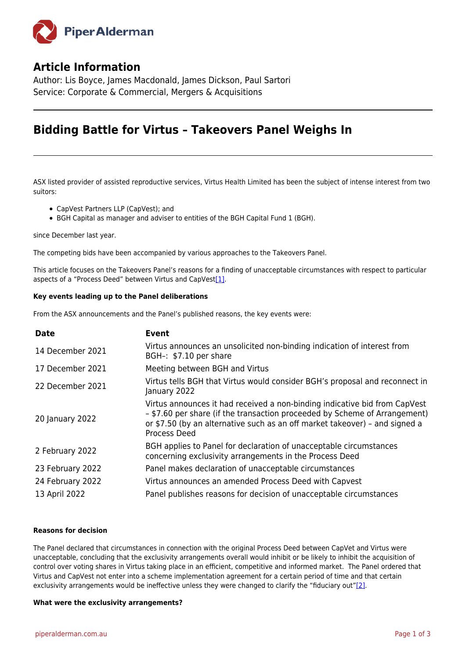

# **Article Information**

Author: Lis Boyce, James Macdonald, James Dickson, Paul Sartori Service: Corporate & Commercial, Mergers & Acquisitions

# **Bidding Battle for Virtus – Takeovers Panel Weighs In**

ASX listed provider of assisted reproductive services, Virtus Health Limited has been the subject of intense interest from two suitors:

- CapVest Partners LLP (CapVest); and
- BGH Capital as manager and adviser to entities of the BGH Capital Fund 1 (BGH).

since December last year.

The competing bids have been accompanied by various approaches to the Takeovers Panel.

<span id="page-0-0"></span>This article focuses on the Takeovers Panel's reasons for a finding of unacceptable circumstances with respect to particular aspects of a "Process Deed" between Virtus and CapVes[t\[1\].](#page-2-0)

# **Key events leading up to the Panel deliberations**

From the ASX announcements and the Panel's published reasons, the key events were:

| <b>Event</b>                                                                                                                                                                                                                                            |
|---------------------------------------------------------------------------------------------------------------------------------------------------------------------------------------------------------------------------------------------------------|
| Virtus announces an unsolicited non-binding indication of interest from<br>BGH-: \$7.10 per share                                                                                                                                                       |
| Meeting between BGH and Virtus                                                                                                                                                                                                                          |
| Virtus tells BGH that Virtus would consider BGH's proposal and reconnect in<br>January 2022                                                                                                                                                             |
| Virtus announces it had received a non-binding indicative bid from CapVest<br>- \$7.60 per share (if the transaction proceeded by Scheme of Arrangement)<br>or \$7.50 (by an alternative such as an off market takeover) - and signed a<br>Process Deed |
| BGH applies to Panel for declaration of unacceptable circumstances<br>concerning exclusivity arrangements in the Process Deed                                                                                                                           |
| Panel makes declaration of unacceptable circumstances                                                                                                                                                                                                   |
| Virtus announces an amended Process Deed with Capvest                                                                                                                                                                                                   |
| Panel publishes reasons for decision of unacceptable circumstances                                                                                                                                                                                      |
|                                                                                                                                                                                                                                                         |

# **Reasons for decision**

The Panel declared that circumstances in connection with the original Process Deed between CapVet and Virtus were unacceptable, concluding that the exclusivity arrangements overall would inhibit or be likely to inhibit the acquisition of control over voting shares in Virtus taking place in an efficient, competitive and informed market. The Panel ordered that Virtus and CapVest not enter into a scheme implementation agreement for a certain period of time and that certain exclusivity arrangements would be ineffective unless they were changed to clarify the "fiduciary out["\[2\].](#page-2-1)

#### <span id="page-0-1"></span>**What were the exclusivity arrangements?**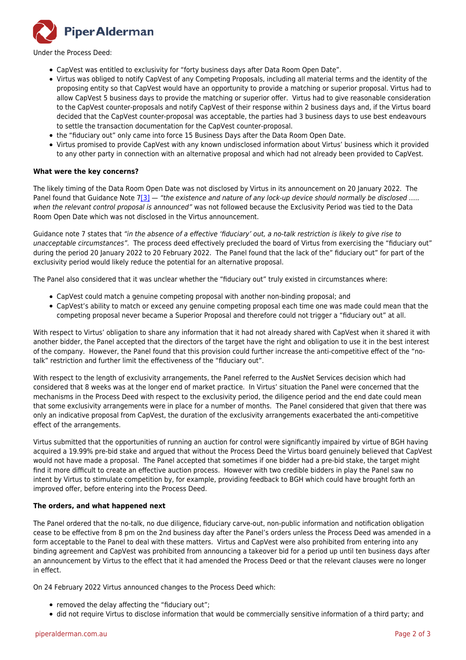

Under the Process Deed:

- CapVest was entitled to exclusivity for "forty business days after Data Room Open Date".
- Virtus was obliged to notify CapVest of any Competing Proposals, including all material terms and the identity of the proposing entity so that CapVest would have an opportunity to provide a matching or superior proposal. Virtus had to allow CapVest 5 business days to provide the matching or superior offer. Virtus had to give reasonable consideration to the CapVest counter-proposals and notify CapVest of their response within 2 business days and, if the Virtus board decided that the CapVest counter-proposal was acceptable, the parties had 3 business days to use best endeavours to settle the transaction documentation for the CapVest counter-proposal.
- the "fiduciary out" only came into force 15 Business Days after the Data Room Open Date.
- Virtus promised to provide CapVest with any known undisclosed information about Virtus' business which it provided to any other party in connection with an alternative proposal and which had not already been provided to CapVest.

# **What were the key concerns?**

<span id="page-1-0"></span>The likely timing of the Data Room Open Date was not disclosed by Virtus in its announcement on 20 January 2022. The Panel found that Guidance Note  $7[3]$  $7[3]$  — "the existence and nature of any lock-up device should normally be disclosed ..... when the relevant control proposal is announced" was not followed because the Exclusivity Period was tied to the Data Room Open Date which was not disclosed in the Virtus announcement.

Guidance note 7 states that "in the absence of a effective 'fiduciary' out, a no-talk restriction is likely to give rise to unacceptable circumstances". The process deed effectively precluded the board of Virtus from exercising the "fiduciary out" during the period 20 January 2022 to 20 February 2022. The Panel found that the lack of the" fiduciary out" for part of the exclusivity period would likely reduce the potential for an alternative proposal.

The Panel also considered that it was unclear whether the "fiduciary out" truly existed in circumstances where:

- CapVest could match a genuine competing proposal with another non-binding proposal; and
- CapVest's ability to match or exceed any genuine competing proposal each time one was made could mean that the competing proposal never became a Superior Proposal and therefore could not trigger a "fiduciary out" at all.

With respect to Virtus' obligation to share any information that it had not already shared with CapVest when it shared it with another bidder, the Panel accepted that the directors of the target have the right and obligation to use it in the best interest of the company. However, the Panel found that this provision could further increase the anti-competitive effect of the "notalk" restriction and further limit the effectiveness of the "fiduciary out".

With respect to the length of exclusivity arrangements, the Panel referred to the AusNet Services decision which had considered that 8 weeks was at the longer end of market practice. In Virtus' situation the Panel were concerned that the mechanisms in the Process Deed with respect to the exclusivity period, the diligence period and the end date could mean that some exclusivity arrangements were in place for a number of months. The Panel considered that given that there was only an indicative proposal from CapVest, the duration of the exclusivity arrangements exacerbated the anti-competitive effect of the arrangements.

Virtus submitted that the opportunities of running an auction for control were significantly impaired by virtue of BGH having acquired a 19.99% pre-bid stake and argued that without the Process Deed the Virtus board genuinely believed that CapVest would not have made a proposal. The Panel accepted that sometimes if one bidder had a pre-bid stake, the target might find it more difficult to create an effective auction process. However with two credible bidders in play the Panel saw no intent by Virtus to stimulate competition by, for example, providing feedback to BGH which could have brought forth an improved offer, before entering into the Process Deed.

#### **The orders, and what happened next**

The Panel ordered that the no-talk, no due diligence, fiduciary carve-out, non-public information and notification obligation cease to be effective from 8 pm on the 2nd business day after the Panel's orders unless the Process Deed was amended in a form acceptable to the Panel to deal with these matters. Virtus and CapVest were also prohibited from entering into any binding agreement and CapVest was prohibited from announcing a takeover bid for a period up until ten business days after an announcement by Virtus to the effect that it had amended the Process Deed or that the relevant clauses were no longer in effect.

On 24 February 2022 Virtus announced changes to the Process Deed which:

- removed the delay affecting the "fiduciary out";
- did not require Virtus to disclose information that would be commercially sensitive information of a third party; and